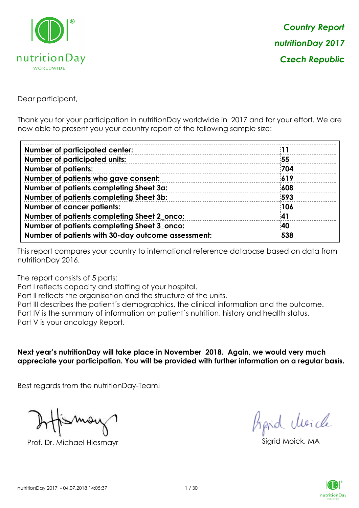

Dear participant,

Thank you for your participation in nutritionDay worldwide in 2017 and for your effort. We are now able to present you your country report of the following sample size:

| <b>Number of participated center:</b>              |     |
|----------------------------------------------------|-----|
|                                                    | 55  |
| <b>Number of participated units:</b>               |     |
| <b>Number of patients:</b>                         | 704 |
| Number of patients who gave consent:               | 619 |
| Number of patients completing Sheet 3a:            | 608 |
| Number of patients completing Sheet 3b:            | 593 |
| <b>Number of cancer patients:</b>                  | 106 |
| Number of patients completing Sheet 2_onco:        | 41  |
| Number of patients completing Sheet 3_onco:        | 40  |
| Number of patients with 30-day outcome assessment: | 538 |

This report compares your country to international reference database based on data from nutritionDay 2016.

The report consists of 5 parts:

Part I reflects capacity and staffing of your hospital.

Part II reflects the organisation and the structure of the units.

Part III describes the patient´s demographics, the clinical information and the outcome.

Part IV is the summary of information on patient´s nutrition, history and health status.

Part V is your oncology Report.

**Next year's nutritionDay will take place in November 2018. Again, we would very much appreciate your participation. You will be provided with further information on a regular basis.**

Best regards from the nutritionDay-Team!

Prof. Dr. Michael Hiesmayr Sigrid Moick, MA

fraid Moich

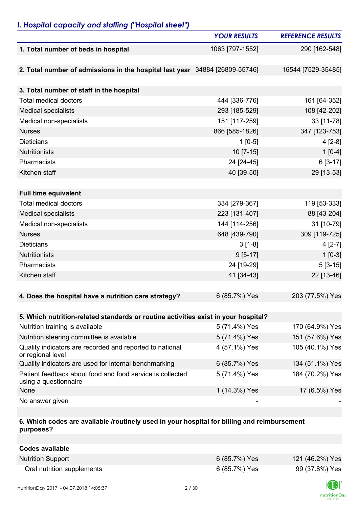## *I. Hospital capacity and staffing ("Hospital sheet")*

|                                                                                    | <b>YOUR RESULTS</b> | <b>REFERENCE RESULTS</b> |
|------------------------------------------------------------------------------------|---------------------|--------------------------|
| 1. Total number of beds in hospital                                                | 1063 [797-1552]     | 290 [162-548]            |
|                                                                                    |                     |                          |
| 2. Total number of admissions in the hospital last year 34884 [26809-55746]        |                     | 16544 [7529-35485]       |
|                                                                                    |                     |                          |
| 3. Total number of staff in the hospital                                           |                     |                          |
| <b>Total medical doctors</b>                                                       | 444 [336-776]       | 161 [64-352]             |
| <b>Medical specialists</b>                                                         | 293 [185-529]       | 108 [42-202]             |
| Medical non-specialists                                                            | 151 [117-259]       | 33 [11-78]               |
| <b>Nurses</b>                                                                      | 866 [585-1826]      | 347 [123-753]            |
| <b>Dieticians</b>                                                                  | $1$ [0-5]           | $4[2-8]$                 |
| Nutritionists                                                                      | $10$ [7-15]         | $1[0-4]$                 |
| Pharmacists                                                                        | 24 [24-45]          | 6 [3-17]                 |
| Kitchen staff                                                                      | 40 [39-50]          | 29 [13-53]               |
|                                                                                    |                     |                          |
| <b>Full time equivalent</b>                                                        |                     |                          |
| <b>Total medical doctors</b>                                                       | 334 [279-367]       | 119 [53-333]             |
| <b>Medical specialists</b>                                                         | 223 [131-407]       | 88 [43-204]              |
| Medical non-specialists                                                            | 144 [114-256]       | 31 [10-79]               |
| <b>Nurses</b>                                                                      | 648 [439-790]       | 309 [119-725]            |
| <b>Dieticians</b>                                                                  | $3[1-8]$            | $4[2-7]$                 |
| Nutritionists                                                                      | $9[5-17]$           | $1[0-3]$                 |
| Pharmacists                                                                        | 24 [19-29]          | $5[3-15]$                |
| Kitchen staff                                                                      | 41 [34-43]          | 22 [13-46]               |
|                                                                                    |                     |                          |
| 4. Does the hospital have a nutrition care strategy?                               | 6 (85.7%) Yes       | 203 (77.5%) Yes          |
|                                                                                    |                     |                          |
| 5. Which nutrition-related standards or routine activities exist in your hospital? |                     |                          |
| Nutrition training is available                                                    | 5 (71.4%) Yes       | 170 (64.9%) Yes          |
| Nutrition steering committee is available                                          | 5 (71.4%) Yes       | 151 (57.6%) Yes          |
| Quality indicators are recorded and reported to national<br>or regional level      | 4 (57.1%) Yes       | 105 (40.1%) Yes          |
| Quality indicators are used for internal benchmarking                              | 6 (85.7%) Yes       | 134 (51.1%) Yes          |
| Patient feedback about food and food service is collected<br>using a questionnaire | 5 (71.4%) Yes       | 184 (70.2%) Yes          |
| None                                                                               | 1 (14.3%) Yes       | 17 (6.5%) Yes            |
| No answer given                                                                    |                     |                          |

#### **6. Which codes are available /routinely used in your hospital for billing and reimbursement purposes?**

| Codes available            |               |                 |
|----------------------------|---------------|-----------------|
| <b>Nutrition Support</b>   | 6 (85.7%) Yes | 121 (46.2%) Yes |
| Oral nutrition supplements | 6 (85.7%) Yes | 99 (37.8%) Yes  |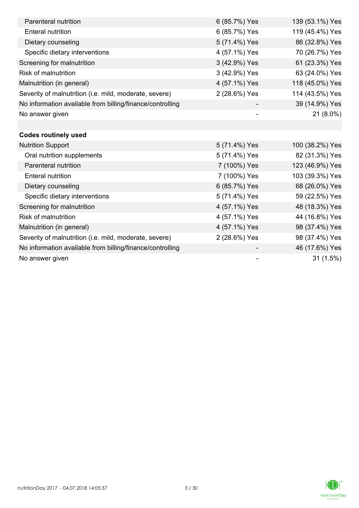| Parenteral nutrition                                      | 6 (85.7%) Yes | 139 (53.1%) Yes |
|-----------------------------------------------------------|---------------|-----------------|
| <b>Enteral nutrition</b>                                  | 6 (85.7%) Yes | 119 (45.4%) Yes |
| Dietary counseling                                        | 5 (71.4%) Yes | 86 (32.8%) Yes  |
| Specific dietary interventions                            | 4 (57.1%) Yes | 70 (26.7%) Yes  |
| Screening for malnutrition                                | 3 (42.9%) Yes | 61 (23.3%) Yes  |
| <b>Risk of malnutrition</b>                               | 3 (42.9%) Yes | 63 (24.0%) Yes  |
| Malnutrition (in general)                                 | 4 (57.1%) Yes | 118 (45.0%) Yes |
| Severity of malnutrition (i.e. mild, moderate, severe)    | 2 (28.6%) Yes | 114 (43.5%) Yes |
| No information available from billing/finance/controlling |               | 39 (14.9%) Yes  |
| No answer given                                           |               | 21 (8.0%)       |
|                                                           |               |                 |
| <b>Codes routinely used</b>                               |               |                 |
| <b>Nutrition Support</b>                                  | 5 (71.4%) Yes | 100 (38.2%) Yes |
| Oral nutrition supplements                                | 5 (71.4%) Yes | 82 (31.3%) Yes  |
| Parenteral nutrition                                      | 7 (100%) Yes  | 123 (46.9%) Yes |
| <b>Enteral nutrition</b>                                  | 7 (100%) Yes  | 103 (39.3%) Yes |
| Dietary counseling                                        | 6 (85.7%) Yes | 68 (26.0%) Yes  |
| Specific dietary interventions                            | 5 (71.4%) Yes | 59 (22.5%) Yes  |
| Screening for malnutrition                                | 4 (57.1%) Yes | 48 (18.3%) Yes  |
| <b>Risk of malnutrition</b>                               | 4 (57.1%) Yes | 44 (16.8%) Yes  |
| Malnutrition (in general)                                 | 4 (57.1%) Yes | 98 (37.4%) Yes  |
| Severity of malnutrition (i.e. mild, moderate, severe)    | 2 (28.6%) Yes | 98 (37.4%) Yes  |
| No information available from billing/finance/controlling |               | 46 (17.6%) Yes  |
| No answer given                                           |               | 31(1.5%)        |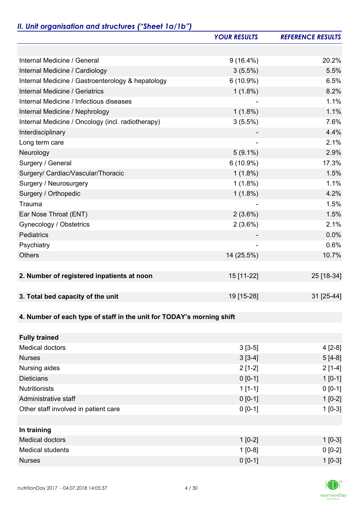# *II. Unit organisation and structures ("Sheet 1a/1b")*

|                                                                       | <b>YOUR RESULTS</b> | <b>REFERENCE RESULTS</b> |
|-----------------------------------------------------------------------|---------------------|--------------------------|
|                                                                       |                     |                          |
| Internal Medicine / General                                           | $9(16.4\%)$         | 20.2%                    |
| Internal Medicine / Cardiology                                        | $3(5.5\%)$          | 5.5%                     |
| Internal Medicine / Gastroenterology & hepatology                     | $6(10.9\%)$         | 6.5%                     |
| Internal Medicine / Geriatrics                                        | $1(1.8\%)$          | 8.2%                     |
| Internal Medicine / Infectious diseases                               |                     | 1.1%                     |
| Internal Medicine / Nephrology                                        | $1(1.8\%)$          | 1.1%                     |
| Internal Medicine / Oncology (incl. radiotherapy)                     | $3(5.5\%)$          | 7.6%                     |
| Interdisciplinary                                                     |                     | 4.4%                     |
| Long term care                                                        |                     | 2.1%                     |
| Neurology                                                             | $5(9.1\%)$          | 2.9%                     |
| Surgery / General                                                     | $6(10.9\%)$         | 17.3%                    |
| Surgery/ Cardiac/Vascular/Thoracic                                    | $1(1.8\%)$          | 1.5%                     |
| Surgery / Neurosurgery                                                | $1(1.8\%)$          | 1.1%                     |
| Surgery / Orthopedic                                                  | $1(1.8\%)$          | 4.2%                     |
| Trauma                                                                |                     | 1.5%                     |
| Ear Nose Throat (ENT)                                                 | $2(3.6\%)$          | 1.5%                     |
| Gynecology / Obstetrics                                               | $2(3.6\%)$          | 2.1%                     |
| Pediatrics                                                            |                     | 0.0%                     |
| Psychiatry                                                            |                     | 0.6%                     |
| <b>Others</b>                                                         | 14 (25.5%)          | 10.7%                    |
|                                                                       | 15 [11-22]          |                          |
| 2. Number of registered inpatients at noon                            |                     | 25 [18-34]               |
| 3. Total bed capacity of the unit                                     | 19 [15-28]          | 31 [25-44]               |
|                                                                       |                     |                          |
| 4. Number of each type of staff in the unit for TODAY's morning shift |                     |                          |
|                                                                       |                     |                          |
| <b>Fully trained</b>                                                  |                     |                          |
| <b>Medical doctors</b>                                                | $3[3-5]$            | $4[2-8]$                 |
| <b>Nurses</b>                                                         | $3[3-4]$            | $5[4-8]$                 |
| Nursing aides                                                         | $2[1-2]$            | $2[1-4]$                 |
| <b>Dieticians</b>                                                     | $0 [0-1]$           | $1 [0-1]$                |
| <b>Nutritionists</b>                                                  | $1[1-1]$            | $0 [0-1]$                |
| Administrative staff                                                  | $0 [0-1]$           | $1[0-2]$                 |
| Other staff involved in patient care                                  | $0 [0-1]$           | $1[0-3]$                 |
|                                                                       |                     |                          |
| In training                                                           |                     |                          |
| <b>Medical doctors</b>                                                | $1[0-2]$            | $1$ [0-3]                |
| Medical students                                                      | $1[0-8]$            | $0 [0-2]$                |

Nurses 0 [0-1] 1 [0-3]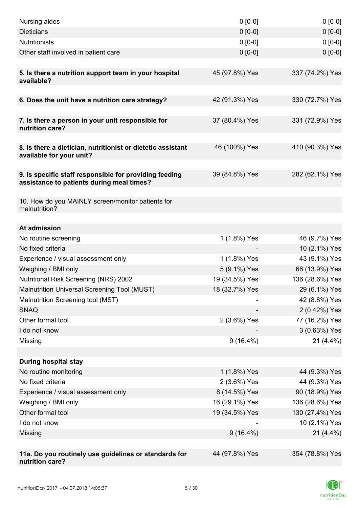| Nursing aides                                                                                       | $0 [0-0]$                      | $0[0-0]$                       |
|-----------------------------------------------------------------------------------------------------|--------------------------------|--------------------------------|
| <b>Dieticians</b>                                                                                   | $0 [0-0]$                      | $0 [0-0]$                      |
| <b>Nutritionists</b>                                                                                | $0 [0-0]$                      | $0[0-0]$                       |
| Other staff involved in patient care                                                                | $0 [0-0]$                      | $0 [0-0]$                      |
|                                                                                                     |                                |                                |
| 5. Is there a nutrition support team in your hospital<br>available?                                 | 45 (97.8%) Yes                 | 337 (74.2%) Yes                |
| 6. Does the unit have a nutrition care strategy?                                                    | 42 (91.3%) Yes                 | 330 (72.7%) Yes                |
|                                                                                                     |                                |                                |
| 7. Is there a person in your unit responsible for<br>nutrition care?                                | 37 (80.4%) Yes                 | 331 (72.9%) Yes                |
| 8. Is there a dietician, nutritionist or dietetic assistant<br>available for your unit?             | 46 (100%) Yes                  | 410 (90.3%) Yes                |
|                                                                                                     |                                |                                |
| 9. Is specific staff responsible for providing feeding<br>assistance to patients during meal times? | 39 (84.8%) Yes                 | 282 (62.1%) Yes                |
|                                                                                                     |                                |                                |
| 10. How do you MAINLY screen/monitor patients for<br>malnutrition?                                  |                                |                                |
|                                                                                                     |                                |                                |
| At admission                                                                                        |                                |                                |
| No routine screening<br>No fixed criteria                                                           | 1 (1.8%) Yes                   | 46 (9.7%) Yes                  |
| Experience / visual assessment only                                                                 | 1 (1.8%) Yes                   | 10 (2.1%) Yes<br>43 (9.1%) Yes |
|                                                                                                     |                                | 66 (13.9%) Yes                 |
| Weighing / BMI only<br>Nutritional Risk Screening (NRS) 2002                                        | 5 (9.1%) Yes<br>19 (34.5%) Yes | 136 (28.6%) Yes                |
| Malnutrition Universal Screening Tool (MUST)                                                        | 18 (32.7%) Yes                 | 29 (6.1%) Yes                  |
| Malnutrition Screening tool (MST)                                                                   |                                | 42 (8.8%) Yes                  |
| <b>SNAQ</b>                                                                                         |                                | 2 (0.42%) Yes                  |
| Other formal tool                                                                                   | 2 (3.6%) Yes                   | 77 (16.2%) Yes                 |
| I do not know                                                                                       |                                | 3 (0.63%) Yes                  |
| Missing                                                                                             | $9(16.4\%)$                    | $21(4.4\%)$                    |
|                                                                                                     |                                |                                |
| <b>During hospital stay</b>                                                                         |                                |                                |
| No routine monitoring                                                                               | 1 (1.8%) Yes                   | 44 (9.3%) Yes                  |
| No fixed criteria                                                                                   | 2 (3.6%) Yes                   | 44 (9.3%) Yes                  |
| Experience / visual assessment only                                                                 | 8 (14.5%) Yes                  | 90 (18.9%) Yes                 |
| Weighing / BMI only                                                                                 | 16 (29.1%) Yes                 | 136 (28.6%) Yes                |
| Other formal tool                                                                                   | 19 (34.5%) Yes                 | 130 (27.4%) Yes                |
| I do not know                                                                                       |                                | 10 (2.1%) Yes                  |
| Missing                                                                                             | $9(16.4\%)$                    | $21(4.4\%)$                    |
|                                                                                                     |                                |                                |
| 11a. Do you routinely use guidelines or standards for<br>nutrition care?                            | 44 (97.8%) Yes                 | 354 (78.8%) Yes                |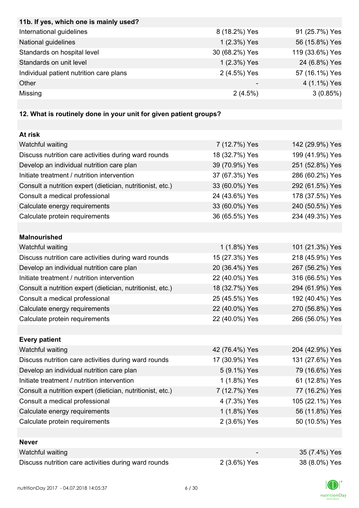| 11b. If yes, which one is mainly used?                            |                |                 |
|-------------------------------------------------------------------|----------------|-----------------|
| International guidelines                                          | 8 (18.2%) Yes  | 91 (25.7%) Yes  |
| National guidelines                                               | 1 (2.3%) Yes   | 56 (15.8%) Yes  |
| Standards on hospital level                                       | 30 (68.2%) Yes | 119 (33.6%) Yes |
| Standards on unit level                                           | 1 (2.3%) Yes   | 24 (6.8%) Yes   |
| Individual patient nutrition care plans                           | 2 (4.5%) Yes   | 57 (16.1%) Yes  |
| Other                                                             |                | 4 (1.1%) Yes    |
| Missing                                                           | 2(4.5%)        | 3(0.85%)        |
|                                                                   |                |                 |
| 12. What is routinely done in your unit for given patient groups? |                |                 |
|                                                                   |                |                 |
| At risk                                                           |                |                 |
| Watchful waiting                                                  | 7 (12.7%) Yes  | 142 (29.9%) Yes |
| Discuss nutrition care activities during ward rounds              | 18 (32.7%) Yes | 199 (41.9%) Yes |
| Develop an individual nutrition care plan                         | 39 (70.9%) Yes | 251 (52.8%) Yes |
| Initiate treatment / nutrition intervention                       | 37 (67.3%) Yes | 286 (60.2%) Yes |
| Consult a nutrition expert (dietician, nutritionist, etc.)        | 33 (60.0%) Yes | 292 (61.5%) Yes |
| Consult a medical professional                                    | 24 (43.6%) Yes | 178 (37.5%) Yes |
| Calculate energy requirements                                     | 33 (60.0%) Yes | 240 (50.5%) Yes |
| Calculate protein requirements                                    | 36 (65.5%) Yes | 234 (49.3%) Yes |
|                                                                   |                |                 |
| <b>Malnourished</b>                                               |                |                 |
| Watchful waiting                                                  | 1 (1.8%) Yes   | 101 (21.3%) Yes |
| Discuss nutrition care activities during ward rounds              | 15 (27.3%) Yes | 218 (45.9%) Yes |
| Develop an individual nutrition care plan                         | 20 (36.4%) Yes | 267 (56.2%) Yes |
| Initiate treatment / nutrition intervention                       | 22 (40.0%) Yes | 316 (66.5%) Yes |
| Consult a nutrition expert (dietician, nutritionist, etc.)        | 18 (32.7%) Yes | 294 (61.9%) Yes |
| Consult a medical professional                                    | 25 (45.5%) Yes | 192 (40.4%) Yes |
| Calculate energy requirements                                     | 22 (40.0%) Yes | 270 (56.8%) Yes |
| Calculate protein requirements                                    | 22 (40.0%) Yes | 266 (56.0%) Yes |
|                                                                   |                |                 |
| <b>Every patient</b>                                              |                |                 |
| Watchful waiting                                                  | 42 (76.4%) Yes | 204 (42.9%) Yes |
| Discuss nutrition care activities during ward rounds              | 17 (30.9%) Yes | 131 (27.6%) Yes |
| Develop an individual nutrition care plan                         | 5 (9.1%) Yes   | 79 (16.6%) Yes  |
| Initiate treatment / nutrition intervention                       | 1 (1.8%) Yes   | 61 (12.8%) Yes  |
| Consult a nutrition expert (dietician, nutritionist, etc.)        | 7 (12.7%) Yes  | 77 (16.2%) Yes  |
| Consult a medical professional                                    | 4 (7.3%) Yes   | 105 (22.1%) Yes |
| Calculate energy requirements                                     | 1 (1.8%) Yes   | 56 (11.8%) Yes  |
| Calculate protein requirements                                    | 2 (3.6%) Yes   | 50 (10.5%) Yes  |
|                                                                   |                |                 |
| <b>Never</b>                                                      |                |                 |
| Watchful waiting                                                  |                | 35 (7.4%) Yes   |
| Discuss nutrition care activities during ward rounds              | 2 (3.6%) Yes   | 38 (8.0%) Yes   |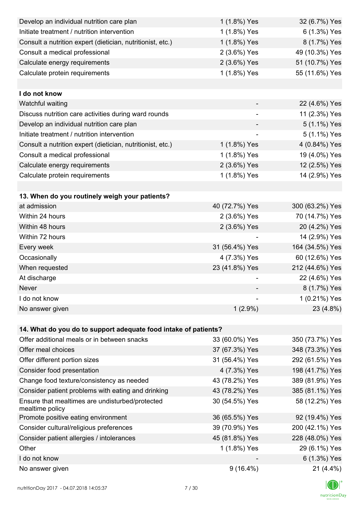| Develop an individual nutrition care plan                          | 1 (1.8%) Yes             | 32 (6.7%) Yes   |
|--------------------------------------------------------------------|--------------------------|-----------------|
| Initiate treatment / nutrition intervention                        | 1 (1.8%) Yes             | 6 (1.3%) Yes    |
| Consult a nutrition expert (dietician, nutritionist, etc.)         | 1 (1.8%) Yes             | 8 (1.7%) Yes    |
| Consult a medical professional                                     | 2 (3.6%) Yes             | 49 (10.3%) Yes  |
| Calculate energy requirements                                      | 2 (3.6%) Yes             | 51 (10.7%) Yes  |
| Calculate protein requirements                                     | 1 (1.8%) Yes             | 55 (11.6%) Yes  |
|                                                                    |                          |                 |
| I do not know                                                      |                          |                 |
| Watchful waiting                                                   |                          | 22 (4.6%) Yes   |
| Discuss nutrition care activities during ward rounds               | $\overline{\phantom{0}}$ | 11 (2.3%) Yes   |
| Develop an individual nutrition care plan                          |                          | 5 (1.1%) Yes    |
| Initiate treatment / nutrition intervention                        | $\overline{\phantom{a}}$ | 5 (1.1%) Yes    |
| Consult a nutrition expert (dietician, nutritionist, etc.)         | 1 (1.8%) Yes             | 4 (0.84%) Yes   |
| Consult a medical professional                                     | 1 (1.8%) Yes             | 19 (4.0%) Yes   |
| Calculate energy requirements                                      | 2 (3.6%) Yes             | 12 (2.5%) Yes   |
| Calculate protein requirements                                     | 1 (1.8%) Yes             | 14 (2.9%) Yes   |
|                                                                    |                          |                 |
| 13. When do you routinely weigh your patients?                     |                          |                 |
| at admission                                                       | 40 (72.7%) Yes           | 300 (63.2%) Yes |
| Within 24 hours                                                    | 2 (3.6%) Yes             | 70 (14.7%) Yes  |
| Within 48 hours                                                    | 2 (3.6%) Yes             | 20 (4.2%) Yes   |
| Within 72 hours                                                    |                          | 14 (2.9%) Yes   |
| Every week                                                         | 31 (56.4%) Yes           | 164 (34.5%) Yes |
| Occasionally                                                       | 4 (7.3%) Yes             | 60 (12.6%) Yes  |
| When requested                                                     | 23 (41.8%) Yes           | 212 (44.6%) Yes |
| At discharge                                                       |                          | 22 (4.6%) Yes   |
| Never                                                              |                          | 8 (1.7%) Yes    |
| I do not know                                                      |                          | 1 (0.21%) Yes   |
| No answer given                                                    | $1(2.9\%)$               | 23 (4.8%)       |
|                                                                    |                          |                 |
| 14. What do you do to support adequate food intake of patients?    |                          |                 |
| Offer additional meals or in between snacks                        | 33 (60.0%) Yes           | 350 (73.7%) Yes |
| Offer meal choices                                                 | 37 (67.3%) Yes           | 348 (73.3%) Yes |
| Offer different portion sizes                                      | 31 (56.4%) Yes           | 292 (61.5%) Yes |
| Consider food presentation                                         | 4 (7.3%) Yes             | 198 (41.7%) Yes |
| Change food texture/consistency as needed                          | 43 (78.2%) Yes           | 389 (81.9%) Yes |
| Consider patient problems with eating and drinking                 | 43 (78.2%) Yes           | 385 (81.1%) Yes |
| Ensure that mealtimes are undisturbed/protected<br>mealtime policy | 30 (54.5%) Yes           | 58 (12.2%) Yes  |
| Promote positive eating environment                                | 36 (65.5%) Yes           | 92 (19.4%) Yes  |
| Consider cultural/religious preferences                            | 39 (70.9%) Yes           | 200 (42.1%) Yes |
| Consider patient allergies / intolerances                          | 45 (81.8%) Yes           | 228 (48.0%) Yes |
| Other                                                              | 1 (1.8%) Yes             | 29 (6.1%) Yes   |
| I do not know                                                      |                          | 6 (1.3%) Yes    |
| No answer given                                                    | $9(16.4\%)$              | $21(4.4\%)$     |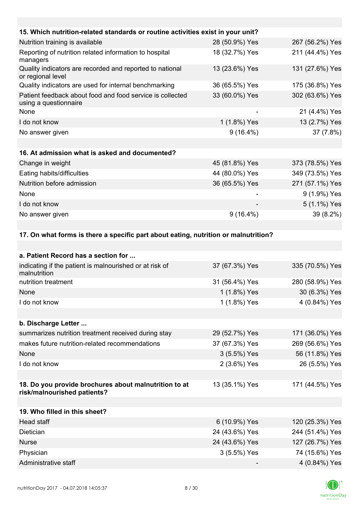| 15. Which nutrition-related standards or routine activities exist in your unit?    |                |                 |
|------------------------------------------------------------------------------------|----------------|-----------------|
| Nutrition training is available                                                    | 28 (50.9%) Yes | 267 (56.2%) Yes |
| Reporting of nutrition related information to hospital<br>managers                 | 18 (32.7%) Yes | 211 (44.4%) Yes |
| Quality indicators are recorded and reported to national<br>or regional level      | 13 (23.6%) Yes | 131 (27.6%) Yes |
| Quality indicators are used for internal benchmarking                              | 36 (65.5%) Yes | 175 (36.8%) Yes |
| Patient feedback about food and food service is collected<br>using a questionnaire | 33 (60.0%) Yes | 302 (63.6%) Yes |
| None                                                                               | -              | 21 (4.4%) Yes   |
| I do not know                                                                      | 1 (1.8%) Yes   | 13 (2.7%) Yes   |
| No answer given                                                                    | $9(16.4\%)$    | 37 (7.8%)       |
|                                                                                    |                |                 |
| 16. At admission what is asked and documented?                                     |                |                 |
| Change in weight                                                                   | 45 (81.8%) Yes | 373 (78.5%) Yes |
| Eating habits/difficulties                                                         | 44 (80.0%) Yes | 349 (73.5%) Yes |
| Nutrition before admission                                                         | 36 (65.5%) Yes | 271 (57.1%) Yes |
| None                                                                               |                | 9 (1.9%) Yes    |
| I do not know                                                                      |                | 5 (1.1%) Yes    |
| No answer given                                                                    | $9(16.4\%)$    | 39 (8.2%)       |
|                                                                                    |                |                 |

### **17. On what forms is there a specific part about eating, nutrition or malnutrition?**

| a. Patient Record has a section for                                                  |                |                 |
|--------------------------------------------------------------------------------------|----------------|-----------------|
| indicating if the patient is malnourished or at risk of<br>malnutrition              | 37 (67.3%) Yes | 335 (70.5%) Yes |
| nutrition treatment                                                                  | 31 (56.4%) Yes | 280 (58.9%) Yes |
| None                                                                                 | 1 (1.8%) Yes   | 30 (6.3%) Yes   |
| I do not know                                                                        | 1 (1.8%) Yes   | 4 (0.84%) Yes   |
|                                                                                      |                |                 |
| b. Discharge Letter                                                                  |                |                 |
| summarizes nutrition treatment received during stay                                  | 29 (52.7%) Yes | 171 (36.0%) Yes |
| makes future nutrition-related recommendations                                       | 37 (67.3%) Yes | 269 (56.6%) Yes |
| None                                                                                 | 3 (5.5%) Yes   | 56 (11.8%) Yes  |
| I do not know                                                                        | 2 (3.6%) Yes   | 26 (5.5%) Yes   |
|                                                                                      |                |                 |
| 18. Do you provide brochures about malnutrition to at<br>risk/malnourished patients? | 13 (35.1%) Yes | 171 (44.5%) Yes |
|                                                                                      |                |                 |
| 19. Who filled in this sheet?                                                        |                |                 |
| <b>Head staff</b>                                                                    | 6 (10.9%) Yes  | 120 (25.3%) Yes |
| Dietician                                                                            | 24 (43.6%) Yes | 244 (51.4%) Yes |
| <b>Nurse</b>                                                                         | 24 (43.6%) Yes | 127 (26.7%) Yes |
| Physician                                                                            | 3 (5.5%) Yes   | 74 (15.6%) Yes  |
| Administrative staff                                                                 |                | 4 (0.84%) Yes   |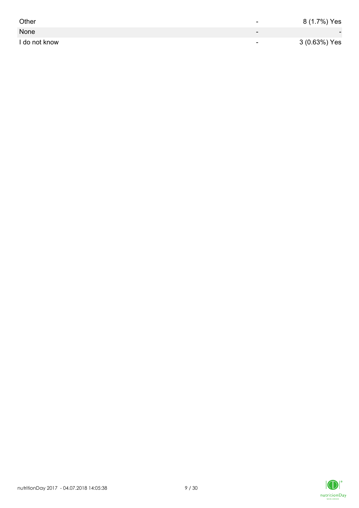| Other         | -                        | 8 (1.7%) Yes             |
|---------------|--------------------------|--------------------------|
| None          | $\overline{\phantom{0}}$ | $\overline{\phantom{0}}$ |
| I do not know | $\overline{\phantom{0}}$ | 3 (0.63%) Yes            |

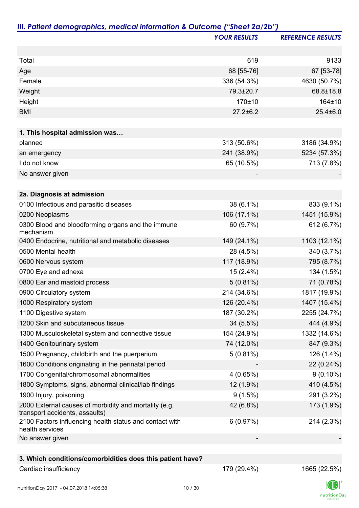|                                                                                         | <b>YOUR RESULTS</b> | <b>REFERENCE RESULTS</b> |
|-----------------------------------------------------------------------------------------|---------------------|--------------------------|
|                                                                                         |                     |                          |
| Total                                                                                   | 619                 | 9133                     |
| Age                                                                                     | 68 [55-76]          | 67 [53-78]               |
| Female                                                                                  | 336 (54.3%)         | 4630 (50.7%)             |
| Weight                                                                                  | 79.3±20.7           | 68.8±18.8                |
| Height                                                                                  | 170±10              | 164±10                   |
| <b>BMI</b>                                                                              | $27.2 \pm 6.2$      | $25.4 \pm 6.0$           |
| 1. This hospital admission was                                                          |                     |                          |
| planned                                                                                 | 313 (50.6%)         | 3186 (34.9%)             |
| an emergency                                                                            | 241 (38.9%)         | 5234 (57.3%)             |
| I do not know                                                                           | 65 (10.5%)          | 713 (7.8%)               |
| No answer given                                                                         |                     |                          |
| 2a. Diagnosis at admission                                                              |                     |                          |
| 0100 Infectious and parasitic diseases                                                  | 38 (6.1%)           | 833 (9.1%)               |
| 0200 Neoplasms                                                                          | 106 (17.1%)         | 1451 (15.9%)             |
| 0300 Blood and bloodforming organs and the immune                                       | 60 (9.7%)           | 612 (6.7%)               |
| mechanism                                                                               |                     |                          |
| 0400 Endocrine, nutritional and metabolic diseases                                      | 149 (24.1%)         | 1103 (12.1%)             |
| 0500 Mental health                                                                      | 28 (4.5%)           | 340 (3.7%)               |
| 0600 Nervous system                                                                     | 117 (18.9%)         | 795 (8.7%)               |
| 0700 Eye and adnexa                                                                     | $15(2.4\%)$         | 134 (1.5%)               |
| 0800 Ear and mastoid process                                                            | $5(0.81\%)$         | 71 (0.78%)               |
| 0900 Circulatory system                                                                 | 214 (34.6%)         | 1817 (19.9%)             |
| 1000 Respiratory system                                                                 | 126 (20.4%)         | 1407 (15.4%)             |
| 1100 Digestive system                                                                   | 187 (30.2%)         | 2255 (24.7%)             |
| 1200 Skin and subcutaneous tissue                                                       | $34(5.5\%)$         | 444 (4.9%)               |
| 1300 Musculoskeletal system and connective tissue                                       | 154 (24.9%)         | 1332 (14.6%)             |
| 1400 Genitourinary system                                                               | 74 (12.0%)          | 847 (9.3%)               |
| 1500 Pregnancy, childbirth and the puerperium                                           | $5(0.81\%)$         | 126 (1.4%)               |
| 1600 Conditions originating in the perinatal period                                     |                     | 22 (0.24%)               |
| 1700 Congenital/chromosomal abnormalities                                               | 4(0.65%)            | $9(0.10\%)$              |
| 1800 Symptoms, signs, abnormal clinical/lab findings                                    | 12 (1.9%)           | 410 (4.5%)               |
| 1900 Injury, poisoning                                                                  | 9(1.5%)             | 291 (3.2%)               |
| 2000 External causes of morbidity and mortality (e.g.<br>transport accidents, assaults) | 42 (6.8%)           | 173 (1.9%)               |
| 2100 Factors influencing health status and contact with<br>health services              | 6(0.97%)            | 214 (2.3%)               |
| No answer given                                                                         |                     |                          |
|                                                                                         |                     |                          |
| 3. Which conditions/comorbidities does this patient have?                               |                     |                          |
| Cardiac insufficiency                                                                   | 179 (29.4%)         | 1665 (22.5%)             |

 $\Box$ nutritionDay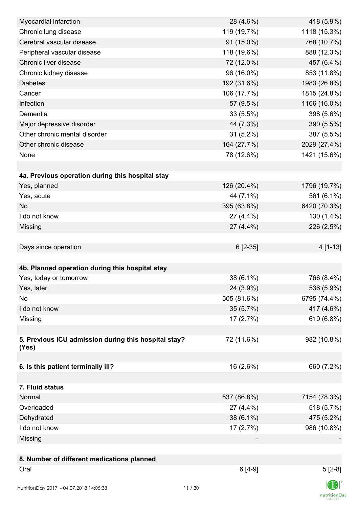| Myocardial infarction                                | 28 (4.6%)   | 418 (5.9%)   |
|------------------------------------------------------|-------------|--------------|
| Chronic lung disease                                 | 119 (19.7%) | 1118 (15.3%) |
| Cerebral vascular disease                            | 91 (15.0%)  | 768 (10.7%)  |
| Peripheral vascular disease                          | 118 (19.6%) | 888 (12.3%)  |
| Chronic liver disease                                | 72 (12.0%)  | 457 (6.4%)   |
| Chronic kidney disease                               | 96 (16.0%)  | 853 (11.8%)  |
| <b>Diabetes</b>                                      | 192 (31.6%) | 1983 (26.8%) |
| Cancer                                               | 106 (17.7%) | 1815 (24.8%) |
| Infection                                            | 57 (9.5%)   | 1166 (16.0%) |
| Dementia                                             | 33(5.5%)    | 398 (5.6%)   |
| Major depressive disorder                            | 44 (7.3%)   | 390 (5.5%)   |
| Other chronic mental disorder                        | $31(5.2\%)$ | 387 (5.5%)   |
| Other chronic disease                                | 164 (27.7%) | 2029 (27.4%) |
| None                                                 | 78 (12.6%)  | 1421 (15.6%) |
|                                                      |             |              |
| 4a. Previous operation during this hospital stay     |             |              |
| Yes, planned                                         | 126 (20.4%) | 1796 (19.7%) |
| Yes, acute                                           | 44 (7.1%)   | 561 (6.1%)   |
| <b>No</b>                                            | 395 (63.8%) | 6420 (70.3%) |
| I do not know                                        | 27 (4.4%)   | 130 (1.4%)   |
| Missing                                              | 27 (4.4%)   | 226 (2.5%)   |
|                                                      |             |              |
| Days since operation                                 | 6 [2-35]    | 4 [1-13]     |
|                                                      |             |              |
| 4b. Planned operation during this hospital stay      |             |              |
| Yes, today or tomorrow                               | 38 (6.1%)   | 766 (8.4%)   |
| Yes, later                                           | 24 (3.9%)   | 536 (5.9%)   |
| No                                                   | 505 (81.6%) | 6795 (74.4%) |
| I do not know                                        | 35 (5.7%)   | 417 (4.6%)   |
| Missing                                              | 17(2.7%)    | 619 (6.8%)   |
|                                                      |             |              |
| 5. Previous ICU admission during this hospital stay? | 72 (11.6%)  | 982 (10.8%)  |
| (Yes)                                                |             |              |
|                                                      |             |              |
| 6. Is this patient terminally ill?                   | 16 (2.6%)   | 660 (7.2%)   |
|                                                      |             |              |
| 7. Fluid status                                      |             |              |
| Normal                                               | 537 (86.8%) | 7154 (78.3%) |
| Overloaded                                           | 27 (4.4%)   | 518 (5.7%)   |
| Dehydrated                                           | 38 (6.1%)   | 475 (5.2%)   |
| I do not know                                        | 17 (2.7%)   | 986 (10.8%)  |
| Missing                                              |             |              |
|                                                      |             |              |
| 8. Number of different medications planned           |             |              |
| Oral                                                 | $6[4-9]$    | $5[2-8]$     |
|                                                      |             |              |
| nutritionDay 2017 - 04.07.2018 14:05:38              | 11/30       |              |

 $\textsf{nutritionDay}$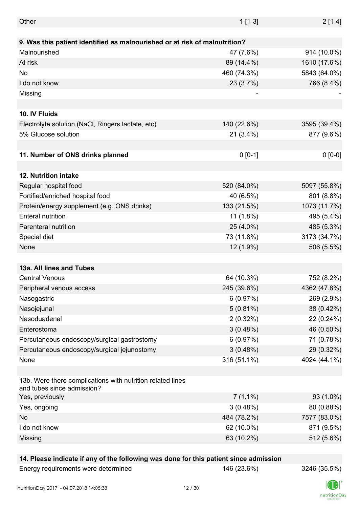| Other                                                                                    | $1[1-3]$    | $2[1-4]$     |
|------------------------------------------------------------------------------------------|-------------|--------------|
| 9. Was this patient identified as malnourished or at risk of malnutrition?               |             |              |
| Malnourished                                                                             | 47 (7.6%)   | 914 (10.0%)  |
| At risk                                                                                  | 89 (14.4%)  | 1610 (17.6%) |
| <b>No</b>                                                                                | 460 (74.3%) | 5843 (64.0%) |
| I do not know                                                                            | 23 (3.7%)   |              |
|                                                                                          |             | 766 (8.4%)   |
| Missing                                                                                  |             |              |
|                                                                                          |             |              |
| 10. IV Fluids                                                                            |             |              |
| Electrolyte solution (NaCl, Ringers lactate, etc)                                        | 140 (22.6%) | 3595 (39.4%) |
| 5% Glucose solution                                                                      | $21(3.4\%)$ | 877 (9.6%)   |
|                                                                                          |             |              |
| 11. Number of ONS drinks planned                                                         | $0 [0-1]$   | $0 [0-0]$    |
|                                                                                          |             |              |
| 12. Nutrition intake                                                                     |             |              |
| Regular hospital food                                                                    | 520 (84.0%) | 5097 (55.8%) |
| Fortified/enriched hospital food                                                         | 40 (6.5%)   | 801 (8.8%)   |
| Protein/energy supplement (e.g. ONS drinks)                                              | 133 (21.5%) | 1073 (11.7%) |
| <b>Enteral nutrition</b>                                                                 | $11(1.8\%)$ | 495 (5.4%)   |
| Parenteral nutrition                                                                     | 25 (4.0%)   | 485 (5.3%)   |
| Special diet                                                                             | 73 (11.8%)  | 3173 (34.7%) |
| None                                                                                     | 12 (1.9%)   | 506 (5.5%)   |
|                                                                                          |             |              |
| 13a. All lines and Tubes                                                                 |             |              |
| <b>Central Venous</b>                                                                    | 64 (10.3%)  | 752 (8.2%)   |
| Peripheral venous access                                                                 | 245 (39.6%) | 4362 (47.8%) |
| Nasogastric                                                                              | 6(0.97%)    | 269 (2.9%)   |
| Nasojejunal                                                                              | $5(0.81\%)$ | 38 (0.42%)   |
| Nasoduadenal                                                                             | $2(0.32\%)$ | 22 (0.24%)   |
| Enterostoma                                                                              | 3(0.48%)    | 46 (0.50%)   |
| Percutaneous endoscopy/surgical gastrostomy                                              | 6(0.97%)    | 71 (0.78%)   |
| Percutaneous endoscopy/surgical jejunostomy                                              | 3(0.48%)    | 29 (0.32%)   |
| None                                                                                     | 316 (51.1%) | 4024 (44.1%) |
|                                                                                          |             |              |
| 13b. Were there complications with nutrition related lines<br>and tubes since admission? |             |              |
| Yes, previously                                                                          | $7(1.1\%)$  | 93 (1.0%)    |
| Yes, ongoing                                                                             | 3(0.48%)    | 80 (0.88%)   |
| No                                                                                       | 484 (78.2%) | 7577 (83.0%) |
| I do not know                                                                            | 62 (10.0%)  | 871 (9.5%)   |
| Missing                                                                                  | 63 (10.2%)  | 512 (5.6%)   |
|                                                                                          |             |              |

#### **14. Please indicate if any of the following was done for this patient since admission**

Energy requirements were determined 146 (23.6%) 3246 (35.5%)

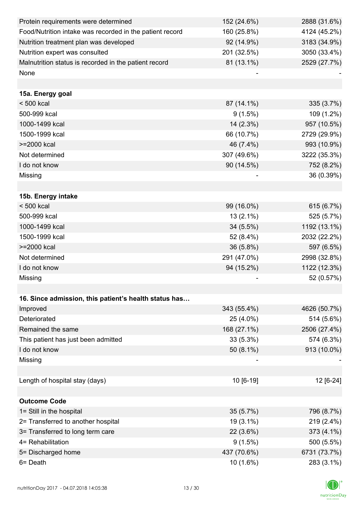| Protein requirements were determined                     | 152 (24.6%) | 2888 (31.6%) |
|----------------------------------------------------------|-------------|--------------|
| Food/Nutrition intake was recorded in the patient record | 160 (25.8%) | 4124 (45.2%) |
| Nutrition treatment plan was developed                   | 92 (14.9%)  | 3183 (34.9%) |
| Nutrition expert was consulted                           | 201 (32.5%) | 3050 (33.4%) |
| Malnutrition status is recorded in the patient record    | 81 (13.1%)  | 2529 (27.7%) |
| None                                                     |             |              |
|                                                          |             |              |
| 15a. Energy goal                                         |             |              |
| $< 500$ kcal                                             | 87 (14.1%)  | 335 (3.7%)   |
| 500-999 kcal                                             | 9(1.5%)     | 109 (1.2%)   |
| 1000-1499 kcal                                           | 14 (2.3%)   | 957 (10.5%)  |
| 1500-1999 kcal                                           | 66 (10.7%)  | 2729 (29.9%) |
| >=2000 kcal                                              | 46 (7.4%)   | 993 (10.9%)  |
| Not determined                                           | 307 (49.6%) | 3222 (35.3%) |
| I do not know                                            | 90 (14.5%)  | 752 (8.2%)   |
| Missing                                                  |             | 36 (0.39%)   |
|                                                          |             |              |
| 15b. Energy intake                                       |             |              |
| $< 500$ kcal                                             | 99 (16.0%)  | 615 (6.7%)   |
| 500-999 kcal                                             | $13(2.1\%)$ | 525 (5.7%)   |
| 1000-1499 kcal                                           | 34 (5.5%)   | 1192 (13.1%) |
| 1500-1999 kcal                                           | 52 (8.4%)   | 2032 (22.2%) |
| >=2000 kcal                                              | 36 (5.8%)   | 597 (6.5%)   |
| Not determined                                           | 291 (47.0%) | 2998 (32.8%) |
| I do not know                                            | 94 (15.2%)  | 1122 (12.3%) |
| Missing                                                  |             | 52 (0.57%)   |
|                                                          |             |              |
| 16. Since admission, this patient's health status has    |             |              |
| Improved                                                 | 343 (55.4%) | 4626 (50.7%) |
| Deteriorated                                             | 25 (4.0%)   | 514 (5.6%)   |
| Remained the same                                        | 168 (27.1%) | 2506 (27.4%) |
| This patient has just been admitted                      | 33 (5.3%)   | 574 (6.3%)   |
| I do not know                                            | 50 (8.1%)   | 913 (10.0%)  |
| Missing                                                  |             |              |
|                                                          |             |              |
| Length of hospital stay (days)                           | 10 [6-19]   | 12 [6-24]    |
|                                                          |             |              |
| <b>Outcome Code</b>                                      |             |              |
| 1= Still in the hospital                                 | 35 (5.7%)   | 796 (8.7%)   |
| 2= Transferred to another hospital                       | $19(3.1\%)$ | 219 (2.4%)   |
| 3= Transferred to long term care                         | 22 (3.6%)   | 373 (4.1%)   |
| 4= Rehabilitation                                        | 9(1.5%)     | 500 (5.5%)   |
| 5= Discharged home                                       | 437 (70.6%) | 6731 (73.7%) |
| 6= Death                                                 | 10 (1.6%)   | 283 (3.1%)   |

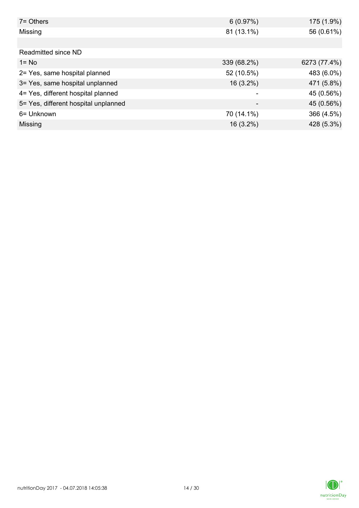| $7 =$ Others                         | 6(0.97%)    | 175 (1.9%)   |
|--------------------------------------|-------------|--------------|
| Missing                              | 81 (13.1%)  | 56 (0.61%)   |
|                                      |             |              |
| Readmitted since ND                  |             |              |
| $1 = No$                             | 339 (68.2%) | 6273 (77.4%) |
| 2= Yes, same hospital planned        | 52 (10.5%)  | 483 (6.0%)   |
| 3= Yes, same hospital unplanned      | $16(3.2\%)$ | 471 (5.8%)   |
| 4= Yes, different hospital planned   |             | 45 (0.56%)   |
| 5= Yes, different hospital unplanned |             | 45 (0.56%)   |
| 6= Unknown                           | 70 (14.1%)  | 366 (4.5%)   |
| Missing                              | $16(3.2\%)$ | 428 (5.3%)   |

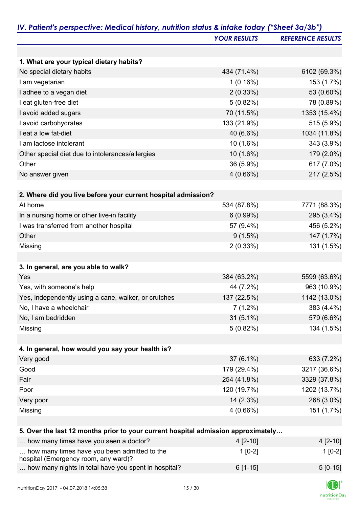|                                                                                      | <b>YOUR RESULTS</b> | <b>REFERENCE RESULTS</b> |
|--------------------------------------------------------------------------------------|---------------------|--------------------------|
|                                                                                      |                     |                          |
| 1. What are your typical dietary habits?                                             |                     |                          |
| No special dietary habits                                                            | 434 (71.4%)         | 6102 (69.3%)             |
| I am vegetarian                                                                      | 1(0.16%)            | 153 (1.7%)               |
| I adhee to a vegan diet                                                              | $2(0.33\%)$         | 53 (0.60%)               |
| I eat gluten-free diet                                                               | 5(0.82%)            | 78 (0.89%)               |
| I avoid added sugars                                                                 | 70 (11.5%)          | 1353 (15.4%)             |
| I avoid carbohydrates                                                                | 133 (21.9%)         | 515 (5.9%)               |
| I eat a low fat-diet                                                                 | 40 (6.6%)           | 1034 (11.8%)             |
| I am lactose intolerant                                                              | $10(1.6\%)$         | 343 (3.9%)               |
| Other special diet due to intolerances/allergies                                     | 10 (1.6%)           | 179 (2.0%)               |
| Other                                                                                | 36 (5.9%)           | 617 (7.0%)               |
| No answer given                                                                      | 4(0.66%)            | 217 (2.5%)               |
| 2. Where did you live before your current hospital admission?                        |                     |                          |
| At home                                                                              | 534 (87.8%)         | 7771 (88.3%)             |
| In a nursing home or other live-in facility                                          | 6(0.99%)            | 295 (3.4%)               |
| I was transferred from another hospital                                              | 57 (9.4%)           | 456 (5.2%)               |
| Other                                                                                | 9(1.5%)             | 147 (1.7%)               |
| Missing                                                                              | 2(0.33%)            | 131 (1.5%)               |
|                                                                                      |                     |                          |
| 3. In general, are you able to walk?                                                 |                     |                          |
| Yes                                                                                  | 384 (63.2%)         | 5599 (63.6%)             |
| Yes, with someone's help                                                             | 44 (7.2%)           | 963 (10.9%)              |
| Yes, independently using a cane, walker, or crutches                                 | 137 (22.5%)         | 1142 (13.0%)             |
| No, I have a wheelchair                                                              | $7(1.2\%)$          | 383 (4.4%)               |
| No, I am bedridden                                                                   | $31(5.1\%)$         | 579 (6.6%)               |
| Missing                                                                              | 5(0.82%)            | 134 (1.5%)               |
|                                                                                      |                     |                          |
| 4. In general, how would you say your health is?                                     |                     |                          |
| Very good                                                                            | $37(6.1\%)$         | 633 (7.2%)               |
| Good                                                                                 | 179 (29.4%)         | 3217 (36.6%)             |
| Fair                                                                                 | 254 (41.8%)         | 3329 (37.8%)             |
| Poor                                                                                 | 120 (19.7%)         | 1202 (13.7%)             |
| Very poor                                                                            | $14(2.3\%)$         | 268 (3.0%)               |
| Missing                                                                              | 4(0.66%)            | 151 (1.7%)               |
|                                                                                      |                     |                          |
| 5. Over the last 12 months prior to your current hospital admission approximately    |                     |                          |
| how many times have you seen a doctor?                                               | 4 [2-10]            | $4[2-10]$                |
| how many times have you been admitted to the<br>hospital (Emergency room, any ward)? | $1[0-2]$            | $1[0-2]$                 |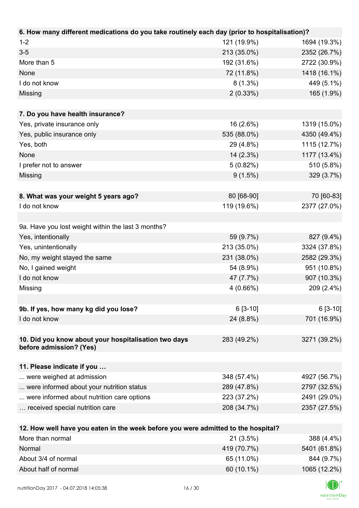| 6. How many different medications do you take routinely each day (prior to hospitalisation)? |             |              |
|----------------------------------------------------------------------------------------------|-------------|--------------|
| $1 - 2$                                                                                      | 121 (19.9%) | 1694 (19.3%) |
| $3-5$                                                                                        | 213 (35.0%) | 2352 (26.7%) |
| More than 5                                                                                  | 192 (31.6%) | 2722 (30.9%) |
| None                                                                                         | 72 (11.8%)  | 1418 (16.1%) |
| I do not know                                                                                | $8(1.3\%)$  | 449 (5.1%)   |
| Missing                                                                                      | 2(0.33%)    | 165 (1.9%)   |
|                                                                                              |             |              |
| 7. Do you have health insurance?                                                             |             |              |
| Yes, private insurance only                                                                  | 16 (2.6%)   | 1319 (15.0%) |
| Yes, public insurance only                                                                   | 535 (88.0%) | 4350 (49.4%) |
| Yes, both                                                                                    | 29 (4.8%)   | 1115 (12.7%) |
| None                                                                                         | 14 (2.3%)   | 1177 (13.4%) |
| I prefer not to answer                                                                       | 5(0.82%)    | 510 (5.8%)   |
| Missing                                                                                      | $9(1.5\%)$  | 329 (3.7%)   |
|                                                                                              |             |              |
| 8. What was your weight 5 years ago?                                                         | 80 [68-90]  | 70 [60-83]   |
| I do not know                                                                                | 119 (19.6%) | 2377 (27.0%) |
|                                                                                              |             |              |
| 9a. Have you lost weight within the last 3 months?                                           |             |              |
| Yes, intentionally                                                                           | 59 (9.7%)   | 827 (9.4%)   |
| Yes, unintentionally                                                                         | 213 (35.0%) | 3324 (37.8%) |
| No, my weight stayed the same                                                                | 231 (38.0%) | 2582 (29.3%) |
| No, I gained weight                                                                          | 54 (8.9%)   | 951 (10.8%)  |
| I do not know                                                                                | 47 (7.7%)   | 907 (10.3%)  |
| Missing                                                                                      | 4(0.66%)    | 209 (2.4%)   |
|                                                                                              |             |              |
| 9b. If yes, how many kg did you lose?                                                        | $6[3-10]$   | $6[3-10]$    |
| I do not know                                                                                | 24 (8.8%)   | 701 (16.9%)  |
|                                                                                              |             |              |
| 10. Did you know about your hospitalisation two days                                         | 283 (49.2%) | 3271 (39.2%) |
| before admission? (Yes)                                                                      |             |              |
| 11. Please indicate if you                                                                   |             |              |
| were weighed at admission                                                                    | 348 (57.4%) | 4927 (56.7%) |
| were informed about your nutrition status                                                    | 289 (47.8%) | 2797 (32.5%) |
| were informed about nutrition care options                                                   | 223 (37.2%) | 2491 (29.0%) |
| received special nutrition care                                                              | 208 (34.7%) | 2357 (27.5%) |
|                                                                                              |             |              |
| 12. How well have you eaten in the week before you were admitted to the hospital?            |             |              |
| More than normal                                                                             | 21(3.5%)    | 388 (4.4%)   |
| Normal                                                                                       | 419 (70.7%) | 5401 (61.8%) |
| About 3/4 of normal                                                                          | 65 (11.0%)  | 844 (9.7%)   |

About half of normal 1065 (12.2%)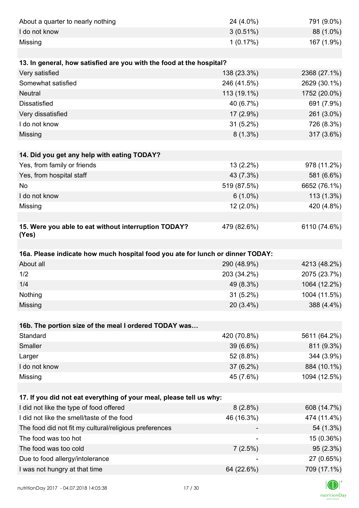| About a quarter to nearly nothing                                              | 24 (4.0%)   | 791 (9.0%)   |
|--------------------------------------------------------------------------------|-------------|--------------|
| I do not know                                                                  | $3(0.51\%)$ | 88 (1.0%)    |
| Missing                                                                        | 1(0.17%)    | 167 (1.9%)   |
|                                                                                |             |              |
| 13. In general, how satisfied are you with the food at the hospital?           |             |              |
| Very satisfied                                                                 | 138 (23.3%) | 2368 (27.1%) |
| Somewhat satisfied                                                             | 246 (41.5%) | 2629 (30.1%) |
| <b>Neutral</b>                                                                 | 113 (19.1%) | 1752 (20.0%) |
| <b>Dissatisfied</b>                                                            | 40 (6.7%)   | 691 (7.9%)   |
| Very dissatisfied                                                              | 17 (2.9%)   | 261 (3.0%)   |
| I do not know                                                                  | 31 (5.2%)   | 726 (8.3%)   |
| Missing                                                                        | $8(1.3\%)$  | 317 (3.6%)   |
|                                                                                |             |              |
| 14. Did you get any help with eating TODAY?                                    |             |              |
| Yes, from family or friends                                                    | 13 (2.2%)   | 978 (11.2%)  |
| Yes, from hospital staff                                                       | 43 (7.3%)   | 581 (6.6%)   |
| <b>No</b>                                                                      | 519 (87.5%) | 6652 (76.1%) |
| I do not know                                                                  | $6(1.0\%)$  | $113(1.3\%)$ |
| Missing                                                                        | 12 (2.0%)   | 420 (4.8%)   |
|                                                                                |             |              |
| 15. Were you able to eat without interruption TODAY?<br>(Yes)                  | 479 (82.6%) | 6110 (74.6%) |
|                                                                                |             |              |
| 16a. Please indicate how much hospital food you ate for lunch or dinner TODAY: |             |              |
| About all                                                                      | 290 (48.9%) | 4213 (48.2%) |
| 1/2                                                                            | 203 (34.2%) | 2075 (23.7%) |
| 1/4                                                                            | 49 (8.3%)   | 1064 (12.2%) |
| Nothing                                                                        | $31(5.2\%)$ | 1004 (11.5%) |
| Missing                                                                        | 20 (3.4%)   | 388 (4.4%)   |
|                                                                                |             |              |
| 16b. The portion size of the meal I ordered TODAY was                          |             |              |
| Standard                                                                       | 420 (70.8%) | 5611 (64.2%) |
| Smaller                                                                        | 39 (6.6%)   | 811 (9.3%)   |
| Larger                                                                         | 52 (8.8%)   | 344 (3.9%)   |
| I do not know                                                                  | 37 (6.2%)   | 884 (10.1%)  |
| Missing                                                                        | 45 (7.6%)   | 1094 (12.5%) |
| 17. If you did not eat everything of your meal, please tell us why:            |             |              |
| I did not like the type of food offered                                        | $8(2.8\%)$  | 608 (14.7%)  |
| I did not like the smell/taste of the food                                     | 46 (16.3%)  | 474 (11.4%)  |
| The food did not fit my cultural/religious preferences                         |             | 54 (1.3%)    |
| The food was too hot                                                           |             | 15 (0.36%)   |
| The food was too cold                                                          | 7(2.5%)     | 95(2.3%)     |
| Due to food allergy/intolerance                                                |             | 27 (0.65%)   |
|                                                                                |             |              |
| I was not hungry at that time                                                  | 64 (22.6%)  | 709 (17.1%)  |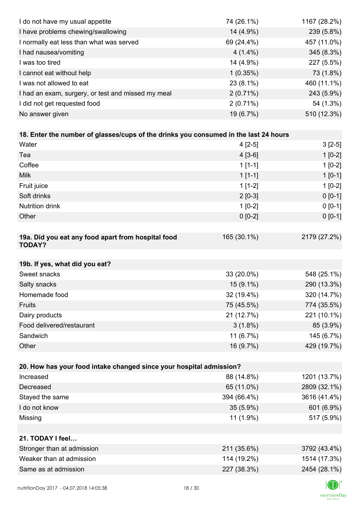| I do not have my usual appetite                                                      | 74 (26.1%)  | 1167 (28.2%) |
|--------------------------------------------------------------------------------------|-------------|--------------|
| I have problems chewing/swallowing                                                   | 14 (4.9%)   | 239 (5.8%)   |
| I normally eat less than what was served                                             | 69 (24.4%)  | 457 (11.0%)  |
| I had nausea/vomiting                                                                | $4(1.4\%)$  | 345 (8.3%)   |
| I was too tired                                                                      | 14 (4.9%)   | 227 (5.5%)   |
| I cannot eat without help                                                            | 1(0.35%)    | 73 (1.8%)    |
| I was not allowed to eat                                                             | 23 (8.1%)   | 460 (11.1%)  |
| I had an exam, surgery, or test and missed my meal                                   | $2(0.71\%)$ | 243 (5.9%)   |
| I did not get requested food                                                         | $2(0.71\%)$ | 54 (1.3%)    |
| No answer given                                                                      | 19 (6.7%)   | 510 (12.3%)  |
|                                                                                      |             |              |
| 18. Enter the number of glasses/cups of the drinks you consumed in the last 24 hours |             |              |
| Water                                                                                | $4[2-5]$    | $3[2-5]$     |
| Tea                                                                                  | $4[3-6]$    | $1[0-2]$     |
| Coffee                                                                               | $1[1-1]$    | $1[0-2]$     |
| <b>Milk</b>                                                                          | $1[1-1]$    | $1[0-1]$     |
| Fruit juice                                                                          | $1[1-2]$    | $1[0-2]$     |
| Soft drinks                                                                          | $2[0-3]$    | $0[0-1]$     |
| <b>Nutrition drink</b>                                                               | $1[0-2]$    | $0 [0-1]$    |
| Other                                                                                | $0 [0-2]$   | $0 [0-1]$    |
|                                                                                      |             |              |
| 19a. Did you eat any food apart from hospital food<br><b>TODAY?</b>                  | 165 (30.1%) | 2179 (27.2%) |
| 19b. If yes, what did you eat?                                                       |             |              |
| Sweet snacks                                                                         | 33 (20.0%)  | 548 (25.1%)  |
| Salty snacks                                                                         | 15 (9.1%)   | 290 (13.3%)  |
| Homemade food                                                                        | 32 (19.4%)  | 320 (14.7%)  |
| Fruits                                                                               | 75 (45.5%)  | 774 (35.5%)  |
| Dairy products                                                                       | 21 (12.7%)  | 221 (10.1%)  |
| Food delivered/restaurant                                                            | $3(1.8\%)$  | 85 (3.9%)    |
| Sandwich                                                                             | 11 (6.7%)   | 145 (6.7%)   |
| Other                                                                                | 16 (9.7%)   | 429 (19.7%)  |
|                                                                                      |             |              |
| 20. How has your food intake changed since your hospital admission?                  |             |              |
| Increased                                                                            | 88 (14.8%)  | 1201 (13.7%) |
| Decreased                                                                            | 65 (11.0%)  | 2809 (32.1%) |
| Stayed the same                                                                      | 394 (66.4%) | 3616 (41.4%) |
| I do not know                                                                        | $35(5.9\%)$ | 601 (6.9%)   |
| Missing                                                                              | 11 (1.9%)   | 517 (5.9%)   |
|                                                                                      |             |              |
| 21. TODAY I feel                                                                     |             |              |
| Stronger than at admission                                                           | 211 (35.6%) | 3792 (43.4%) |
| Weaker than at admission                                                             | 114 (19.2%) | 1514 (17.3%) |
| Same as at admission                                                                 | 227 (38.3%) | 2454 (28.1%) |
|                                                                                      |             |              |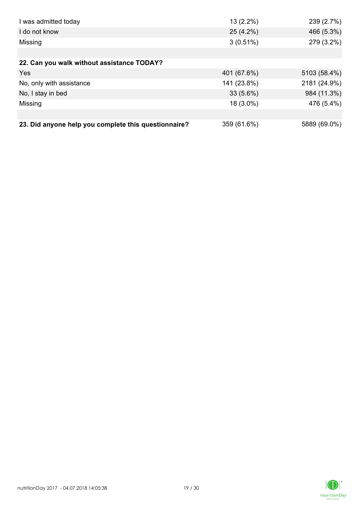| I was admitted today                                 | $13(2.2\%)$ | 239 (2.7%)   |
|------------------------------------------------------|-------------|--------------|
| I do not know                                        | 25 (4.2%)   | 466 (5.3%)   |
| Missing                                              | $3(0.51\%)$ | 279 (3.2%)   |
|                                                      |             |              |
| 22. Can you walk without assistance TODAY?           |             |              |
| Yes                                                  | 401 (67.6%) | 5103 (58.4%) |
| No, only with assistance                             | 141 (23.8%) | 2181 (24.9%) |
| No, I stay in bed                                    | $33(5.6\%)$ | 984 (11.3%)  |
| Missing                                              | 18 (3.0%)   | 476 (5.4%)   |
|                                                      |             |              |
| 23. Did anyone help you complete this questionnaire? | 359 (61.6%) | 5889 (69.0%) |

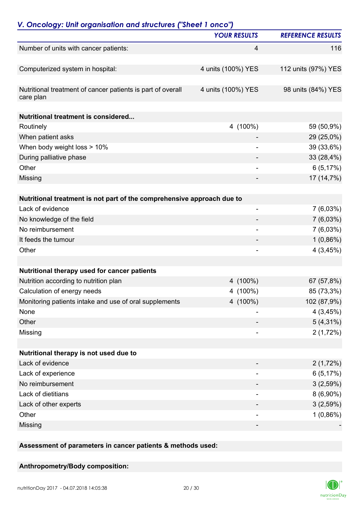| V. Oncology: Unit organisation and structures ("Sheet 1 onco")                        | <b>YOUR RESULTS</b>      | <b>REFERENCE RESULTS</b>  |
|---------------------------------------------------------------------------------------|--------------------------|---------------------------|
|                                                                                       |                          |                           |
| Number of units with cancer patients:                                                 | 4                        | 116                       |
| Computerized system in hospital:                                                      | 4 units (100%) YES       | 112 units (97%) YES       |
| Nutritional treatment of cancer patients is part of overall<br>care plan              | 4 units (100%) YES       | 98 units (84%) YES        |
| <b>Nutritional treatment is considered</b>                                            |                          |                           |
| Routinely                                                                             | 4 (100%)                 | 59 (50,9%)                |
| When patient asks                                                                     |                          | 29 (25,0%)                |
| When body weight loss > 10%                                                           |                          | 39 (33,6%)                |
| During palliative phase                                                               |                          | 33 (28,4%)                |
| Other                                                                                 |                          | 6(5,17%)                  |
| Missing                                                                               |                          | 17 (14,7%)                |
| Nutritional treatment is not part of the comprehensive approach due to                |                          |                           |
| Lack of evidence                                                                      | $\overline{\phantom{a}}$ | $7(6,03\%)$               |
| No knowledge of the field                                                             |                          | 7(6,03%)                  |
| No reimbursement                                                                      | $\overline{\phantom{a}}$ | $7(6,03\%)$               |
| It feeds the tumour                                                                   |                          | $1(0,86\%)$               |
| Other                                                                                 |                          | 4(3,45%)                  |
|                                                                                       |                          |                           |
| Nutritional therapy used for cancer patients                                          |                          | 67 (57,8%)                |
| Nutrition according to nutrition plan                                                 | 4 (100%)                 |                           |
| Calculation of energy needs<br>Monitoring patients intake and use of oral supplements | 4 (100%)<br>4 (100%)     | 85 (73,3%)<br>102 (87,9%) |
| None                                                                                  |                          | 4(3,45%)                  |
| Other                                                                                 |                          | $5(4,31\%)$               |
| Missing                                                                               |                          | 2(1,72%)                  |
|                                                                                       |                          |                           |
| Nutritional therapy is not used due to                                                |                          |                           |
| Lack of evidence                                                                      |                          | 2(1,72%)                  |
| Lack of experience                                                                    |                          | 6(5,17%)                  |
| No reimbursement                                                                      |                          | 3(2,59%)                  |
| Lack of dietitians                                                                    |                          | $8(6,90\%)$               |
| Lack of other experts                                                                 |                          | 3(2,59%)                  |
| Other                                                                                 | $\overline{\phantom{a}}$ | $1(0,86\%)$               |
| Missing                                                                               | -                        |                           |
|                                                                                       |                          |                           |

#### **Assessment of parameters in cancer patients & methods used:**

#### **Anthropometry/Body composition:**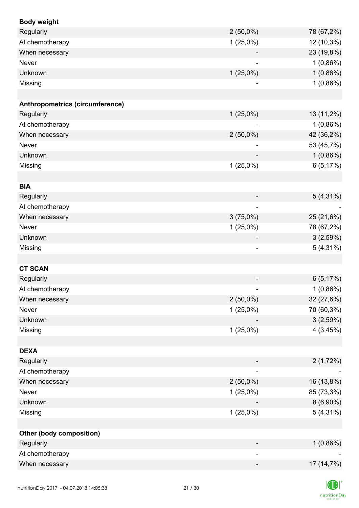| <b>Body weight</b>              |                |             |
|---------------------------------|----------------|-------------|
| Regularly                       | $2(50,0\%)$    | 78 (67,2%)  |
| At chemotherapy                 | $1(25,0\%)$    | 12 (10,3%)  |
| When necessary                  |                | 23 (19,8%)  |
| Never                           |                | 1(0,86%)    |
| Unknown                         | $1(25,0\%)$    | 1(0,86%)    |
| Missing                         |                | 1(0,86%)    |
|                                 |                |             |
| Anthropometrics (circumference) |                |             |
| Regularly                       | $1(25,0\%)$    | 13 (11,2%)  |
| At chemotherapy                 |                | $1(0,86\%)$ |
| When necessary                  | $2(50,0\%)$    | 42 (36,2%)  |
| Never                           |                | 53 (45,7%)  |
| Unknown                         |                | 1(0,86%)    |
| Missing                         | $1(25,0\%)$    | 6(5,17%)    |
|                                 |                |             |
| <b>BIA</b>                      |                |             |
| Regularly                       |                | $5(4,31\%)$ |
| At chemotherapy                 |                |             |
| When necessary                  | 3(75,0%)       | 25 (21,6%)  |
| Never                           | $1(25,0\%)$    | 78 (67,2%)  |
| Unknown                         |                | 3(2,59%)    |
| Missing                         | $\overline{a}$ | $5(4,31\%)$ |
| <b>CT SCAN</b>                  |                |             |
| Regularly                       |                | 6(5,17%)    |
| At chemotherapy                 |                | $1(0,86\%)$ |
| When necessary                  | $2(50,0\%)$    | 32 (27,6%)  |
| Never                           | $1(25,0\%)$    | 70 (60,3%)  |
| Unknown                         |                | 3(2,59%)    |
| Missing                         | $1(25,0\%)$    | 4(3,45%)    |
|                                 |                |             |
| <b>DEXA</b>                     |                |             |
| Regularly                       |                | 2(1,72%)    |
| At chemotherapy                 |                |             |
| When necessary                  | $2(50,0\%)$    | 16 (13,8%)  |
| Never                           | $1(25,0\%)$    | 85 (73,3%)  |
| Unknown                         |                | $8(6,90\%)$ |
| Missing                         | $1(25,0\%)$    | $5(4,31\%)$ |
|                                 |                |             |
| Other (body composition)        |                |             |
| Regularly                       |                | $1(0,86\%)$ |
| At chemotherapy                 |                |             |
| When necessary                  | -              | 17 (14,7%)  |
|                                 |                |             |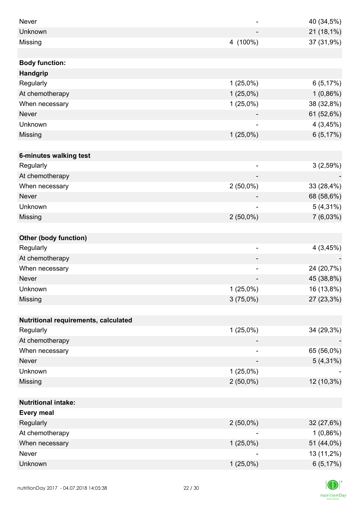| Never                                |                          | 40 (34,5%)  |
|--------------------------------------|--------------------------|-------------|
| Unknown                              |                          | 21 (18,1%)  |
| Missing                              | 4 (100%)                 | 37 (31,9%)  |
|                                      |                          |             |
| <b>Body function:</b>                |                          |             |
| Handgrip                             |                          |             |
| Regularly                            | $1(25,0\%)$              | 6(5,17%)    |
| At chemotherapy                      | $1(25,0\%)$              | 1(0,86%)    |
| When necessary                       | $1(25,0\%)$              | 38 (32,8%)  |
| <b>Never</b>                         |                          | 61 (52,6%)  |
| Unknown                              | ۰                        | 4(3,45%)    |
| Missing                              | $1(25,0\%)$              | 6(5,17%)    |
|                                      |                          |             |
| 6-minutes walking test               |                          |             |
| Regularly                            | $\overline{\phantom{a}}$ | 3(2,59%)    |
| At chemotherapy                      | $\overline{\phantom{a}}$ |             |
| When necessary                       | $2(50,0\%)$              | 33 (28,4%)  |
| <b>Never</b>                         |                          | 68 (58,6%)  |
| Unknown                              |                          | $5(4,31\%)$ |
| Missing                              | $2(50,0\%)$              | $7(6,03\%)$ |
|                                      |                          |             |
| <b>Other (body function)</b>         |                          |             |
| Regularly                            | $\overline{\phantom{a}}$ | 4(3,45%)    |
| At chemotherapy                      |                          |             |
| When necessary                       | $\overline{\phantom{a}}$ | 24 (20,7%)  |
| <b>Never</b>                         |                          | 45 (38,8%)  |
| Unknown                              | $1(25,0\%)$              | 16 (13,8%)  |
| Missing                              | 3(75,0%)                 | 27 (23,3%)  |
|                                      |                          |             |
| Nutritional requirements, calculated |                          |             |
| Regularly                            | $1(25,0\%)$              | 34 (29,3%)  |
| At chemotherapy                      |                          |             |
| When necessary                       |                          | 65 (56,0%)  |
| Never                                |                          | $5(4,31\%)$ |
| Unknown                              | $1(25,0\%)$              |             |
| Missing                              | $2(50,0\%)$              | 12 (10,3%)  |
|                                      |                          |             |
| <b>Nutritional intake:</b>           |                          |             |
| <b>Every meal</b>                    |                          |             |
| Regularly                            | $2(50,0\%)$              | 32 (27,6%)  |
| At chemotherapy                      |                          | 1(0,86%)    |
| When necessary                       | $1(25,0\%)$              | 51 (44,0%)  |
| Never                                |                          | 13 (11,2%)  |
| Unknown                              | $1(25,0\%)$              | 6(5,17%)    |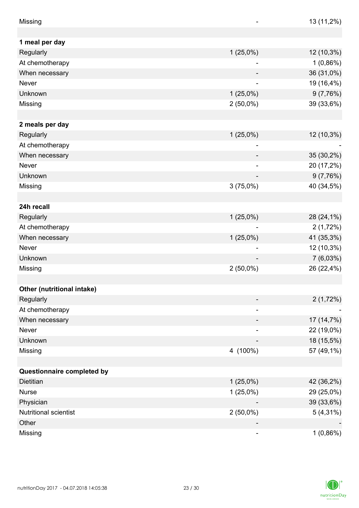| Missing                    |                          | 13 (11,2%)  |
|----------------------------|--------------------------|-------------|
|                            |                          |             |
| 1 meal per day             |                          |             |
| Regularly                  | $1(25,0\%)$              | 12 (10,3%)  |
| At chemotherapy            |                          | $1(0,86\%)$ |
| When necessary             |                          | 36 (31,0%)  |
| Never                      | $\overline{\phantom{a}}$ | 19 (16,4%)  |
| Unknown                    | $1(25,0\%)$              | 9(7,76%)    |
| Missing                    | $2(50,0\%)$              | 39 (33,6%)  |
|                            |                          |             |
| 2 meals per day            |                          |             |
| Regularly                  | $1(25,0\%)$              | 12 (10,3%)  |
| At chemotherapy            |                          |             |
| When necessary             |                          | 35 (30,2%)  |
| Never                      |                          | 20 (17,2%)  |
| Unknown                    |                          | 9(7,76%)    |
| Missing                    | 3(75,0%)                 | 40 (34,5%)  |
|                            |                          |             |
| 24h recall                 |                          |             |
| Regularly                  | $1(25,0\%)$              | 28 (24,1%)  |
| At chemotherapy            |                          | 2(1,72%)    |
| When necessary             | $1(25,0\%)$              | 41 (35,3%)  |
| Never                      |                          | 12 (10,3%)  |
| Unknown                    |                          | 7(6,03%)    |
| Missing                    | $2(50,0\%)$              | 26 (22,4%)  |
|                            |                          |             |
| Other (nutritional intake) |                          |             |
| Regularly                  |                          | 2(1,72%)    |
| At chemotherapy            |                          |             |
| When necessary             |                          | 17 (14,7%)  |
| Never                      |                          | 22 (19,0%)  |
| Unknown                    |                          | 18 (15,5%)  |
| Missing                    | 4 (100%)                 | 57 (49,1%)  |
|                            |                          |             |
| Questionnaire completed by |                          |             |
| Dietitian                  | $1(25,0\%)$              | 42 (36,2%)  |
| <b>Nurse</b>               | $1(25,0\%)$              | 29 (25,0%)  |
| Physician                  |                          | 39 (33,6%)  |
| Nutritional scientist      | $2(50,0\%)$              | $5(4,31\%)$ |
| Other                      |                          |             |
| Missing                    |                          | $1(0,86\%)$ |

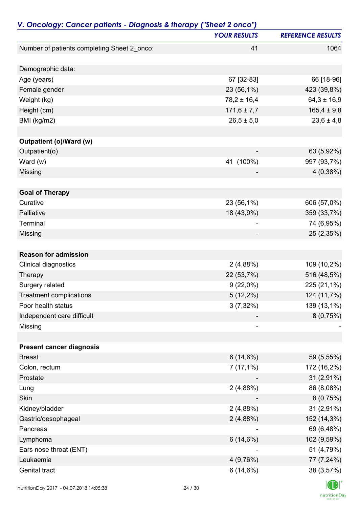| V. Oncology: Cancer patients - Diagnosis & therapy ("Sheet 2 onco") |                     |                          |
|---------------------------------------------------------------------|---------------------|--------------------------|
|                                                                     | <b>YOUR RESULTS</b> | <b>REFERENCE RESULTS</b> |
| Number of patients completing Sheet 2_onco:                         | 41                  | 1064                     |
| Demographic data:                                                   |                     |                          |
| Age (years)                                                         | 67 [32-83]          | 66 [18-96]               |
| Female gender                                                       | 23 (56,1%)          | 423 (39,8%)              |
| Weight (kg)                                                         | $78,2 \pm 16,4$     | $64,3 \pm 16,9$          |
| Height (cm)                                                         | $171,6 \pm 7,7$     | $165,4 \pm 9,8$          |
| BMI (kg/m2)                                                         | $26,5 \pm 5,0$      | $23,6 \pm 4,8$           |
| Outpatient (o)/Ward (w)                                             |                     |                          |
| Outpatient(o)                                                       |                     | 63 (5,92%)               |
| Ward (w)                                                            | 41 (100%)           | 997 (93,7%)              |
| Missing                                                             |                     | 4(0,38%)                 |
|                                                                     |                     |                          |
| <b>Goal of Therapy</b>                                              |                     |                          |
| Curative                                                            | 23 (56,1%)          | 606 (57,0%)              |
| Palliative                                                          | 18 (43,9%)          | 359 (33,7%)              |
| Terminal                                                            |                     | 74 (6,95%)               |
| Missing                                                             |                     | 25 (2,35%)               |
| <b>Reason for admission</b>                                         |                     |                          |
| Clinical diagnostics                                                | 2(4,88%)            | 109 (10,2%)              |
| Therapy                                                             | 22 (53,7%)          | 516 (48,5%)              |
| Surgery related                                                     | $9(22,0\%)$         | 225 (21,1%)              |
| <b>Treatment complications</b>                                      | $5(12,2\%)$         | 124 (11,7%)              |
| Poor health status                                                  | $3(7,32\%)$         | 139 (13,1%)              |
| Independent care difficult                                          |                     | 8(0,75%)                 |
| Missing                                                             |                     |                          |
|                                                                     |                     |                          |
| <b>Present cancer diagnosis</b>                                     |                     |                          |
| <b>Breast</b>                                                       | 6(14,6%)            | 59 (5,55%)               |
| Colon, rectum                                                       | $7(17,1\%)$         | 172 (16,2%)              |
| Prostate                                                            |                     | $31(2,91\%)$             |
| Lung                                                                | 2(4,88%)            | 86 (8,08%)               |
| Skin                                                                |                     | 8(0,75%)                 |
| Kidney/bladder                                                      | 2(4,88%)            | 31 (2,91%)               |
| Gastric/oesophageal                                                 | 2(4,88%)            | 152 (14,3%)              |
| Pancreas                                                            |                     | 69 (6,48%)               |
| Lymphoma                                                            | 6(14,6%)            | 102 (9,59%)              |
| Ears nose throat (ENT)                                              |                     | 51 (4,79%)               |
| Leukaemia                                                           | 4(9,76%)            | 77 (7,24%)               |
| Genital tract                                                       | 6(14,6%)            | 38 (3,57%)               |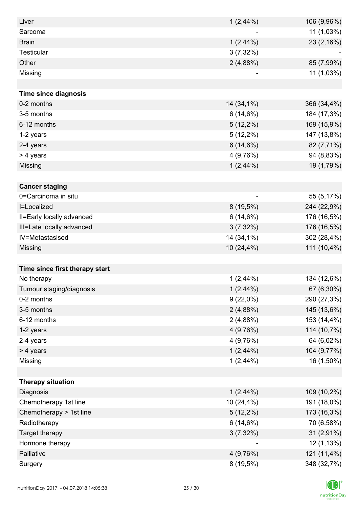| Liver                          | $1(2,44\%)$    | 106 (9,96%) |
|--------------------------------|----------------|-------------|
| Sarcoma                        |                | 11 (1,03%)  |
| <b>Brain</b>                   | $1(2,44\%)$    | 23 (2,16%)  |
| Testicular                     | $3(7,32\%)$    |             |
| Other                          | 2(4,88%)       | 85 (7,99%)  |
| Missing                        |                | 11 (1,03%)  |
|                                |                |             |
| <b>Time since diagnosis</b>    |                |             |
| 0-2 months                     | 14 (34,1%)     | 366 (34,4%) |
| 3-5 months                     | 6(14,6%)       | 184 (17,3%) |
| 6-12 months                    | $5(12,2\%)$    | 169 (15,9%) |
| 1-2 years                      | $5(12,2\%)$    | 147 (13,8%) |
| 2-4 years                      | 6(14,6%)       | 82 (7,71%)  |
| > 4 years                      | 4(9,76%)       | 94 (8,83%)  |
| Missing                        | 1(2,44%)       | 19 (1,79%)  |
|                                |                |             |
| <b>Cancer staging</b>          |                |             |
| 0=Carcinoma in situ            | $\overline{a}$ | 55 (5,17%)  |
| I=Localized                    | $8(19,5\%)$    | 244 (22,9%) |
| II=Early locally advanced      | 6(14,6%)       | 176 (16,5%) |
| III=Late locally advanced      | $3(7,32\%)$    | 176 (16,5%) |
| IV=Metastasised                | 14 (34,1%)     | 302 (28,4%) |
| Missing                        | 10 (24,4%)     | 111 (10,4%) |
|                                |                |             |
| Time since first therapy start |                |             |
| No therapy                     | 1(2,44%)       | 134 (12,6%) |
| Tumour staging/diagnosis       | $1(2,44\%)$    | 67 (6,30%)  |
| 0-2 months                     | $9(22,0\%)$    | 290 (27,3%) |
| 3-5 months                     | 2(4,88%)       | 145 (13,6%) |
| 6-12 months                    | 2(4,88%)       | 153 (14,4%) |
| 1-2 years                      | 4(9,76%)       | 114 (10,7%) |
| 2-4 years                      | 4 (9,76%)      | 64 (6,02%)  |
| > 4 years                      | $1(2,44\%)$    | 104 (9,77%) |
| Missing                        | $1(2,44\%)$    | 16 (1,50%)  |
|                                |                |             |
| <b>Therapy situation</b>       |                |             |
| Diagnosis                      | $1(2,44\%)$    | 109 (10,2%) |
| Chemotherapy 1st line          | 10 (24,4%)     | 191 (18,0%) |
| Chemotherapy > 1st line        | $5(12,2\%)$    | 173 (16,3%) |
| Radiotherapy                   | 6(14,6%)       | 70 (6,58%)  |
| Target therapy                 | $3(7,32\%)$    | 31 (2,91%)  |
| Hormone therapy                |                | 12 (1,13%)  |
| Palliative                     | 4(9,76%)       | 121 (11,4%) |
| Surgery                        | 8 (19,5%)      | 348 (32,7%) |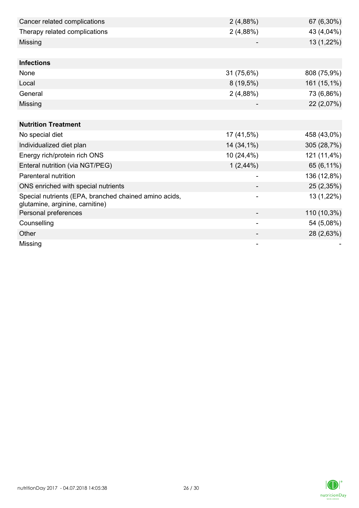| Cancer related complications                                                             | 2(4,88%)    | 67 (6,30%)  |
|------------------------------------------------------------------------------------------|-------------|-------------|
| Therapy related complications                                                            | 2(4,88%)    | 43 (4,04%)  |
| Missing                                                                                  |             | 13 (1,22%)  |
|                                                                                          |             |             |
| <b>Infections</b>                                                                        |             |             |
| None                                                                                     | 31 (75,6%)  | 808 (75,9%) |
| Local                                                                                    | $8(19,5\%)$ | 161 (15,1%) |
| General                                                                                  | 2(4,88%)    | 73 (6,86%)  |
| Missing                                                                                  |             | 22 (2,07%)  |
|                                                                                          |             |             |
| <b>Nutrition Treatment</b>                                                               |             |             |
| No special diet                                                                          | 17 (41,5%)  | 458 (43,0%) |
| Individualized diet plan                                                                 | 14 (34,1%)  | 305 (28,7%) |
| Energy rich/protein rich ONS                                                             | 10 (24,4%)  | 121 (11,4%) |
| Enteral nutrition (via NGT/PEG)                                                          | $1(2,44\%)$ | 65 (6,11%)  |
| Parenteral nutrition                                                                     |             | 136 (12,8%) |
| ONS enriched with special nutrients                                                      |             | 25 (2,35%)  |
| Special nutrients (EPA, branched chained amino acids,<br>glutamine, arginine, carnitine) |             | 13 (1,22%)  |
| Personal preferences                                                                     |             | 110 (10,3%) |
| Counselling                                                                              |             | 54 (5,08%)  |
| Other                                                                                    |             | 28 (2,63%)  |
| Missing                                                                                  |             |             |

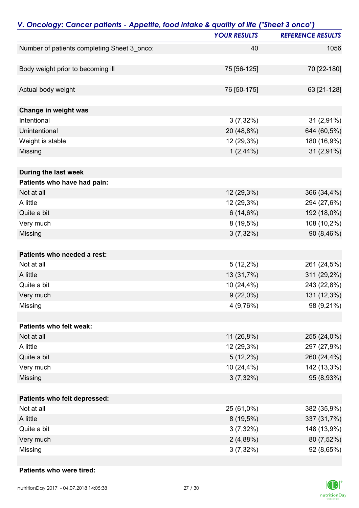|                                             | V. Oncology: Cancer patients - Appetite, food intake & quality of life ("Sheet 3 onco") |                          |  |
|---------------------------------------------|-----------------------------------------------------------------------------------------|--------------------------|--|
|                                             | <b>YOUR RESULTS</b>                                                                     | <b>REFERENCE RESULTS</b> |  |
| Number of patients completing Sheet 3_onco: | 40                                                                                      | 1056                     |  |
|                                             |                                                                                         |                          |  |
| Body weight prior to becoming ill           | 75 [56-125]                                                                             | 70 [22-180]              |  |
| Actual body weight                          | 76 [50-175]                                                                             | 63 [21-128]              |  |
| Change in weight was                        |                                                                                         |                          |  |
| Intentional                                 | $3(7,32\%)$                                                                             | 31 (2,91%)               |  |
| Unintentional                               | 20 (48,8%)                                                                              | 644 (60,5%)              |  |
| Weight is stable                            | 12 (29,3%)                                                                              | 180 (16,9%)              |  |
| Missing                                     | $1(2,44\%)$                                                                             | 31 (2,91%)               |  |
| During the last week                        |                                                                                         |                          |  |
| Patients who have had pain:                 |                                                                                         |                          |  |
| Not at all                                  | 12 (29,3%)                                                                              | 366 (34,4%)              |  |
| A little                                    | 12 (29,3%)                                                                              | 294 (27,6%)              |  |
| Quite a bit                                 | 6(14,6%)                                                                                | 192 (18,0%)              |  |
| Very much                                   | 8 (19,5%)                                                                               | 108 (10,2%)              |  |
| Missing                                     | $3(7,32\%)$                                                                             | 90 (8,46%)               |  |
| Patients who needed a rest:                 |                                                                                         |                          |  |
| Not at all                                  | $5(12,2\%)$                                                                             | 261 (24,5%)              |  |
| A little                                    | 13 (31,7%)                                                                              | 311 (29,2%)              |  |
| Quite a bit                                 | 10 (24,4%)                                                                              | 243 (22,8%)              |  |
| Very much                                   | $9(22,0\%)$                                                                             | 131 (12,3%)              |  |
| Missing                                     | 4 (9,76%)                                                                               | 98 (9,21%)               |  |
| Patients who felt weak:                     |                                                                                         |                          |  |
| Not at all                                  | 11 (26,8%)                                                                              | 255 (24,0%)              |  |
| A little                                    | 12 (29,3%)                                                                              | 297 (27,9%)              |  |
| Quite a bit                                 | $5(12,2\%)$                                                                             | 260 (24,4%)              |  |
| Very much                                   | 10 (24,4%)                                                                              | 142 (13,3%)              |  |
| Missing                                     | $3(7,32\%)$                                                                             | 95 (8,93%)               |  |
| Patients who felt depressed:                |                                                                                         |                          |  |
| Not at all                                  | 25 (61,0%)                                                                              | 382 (35,9%)              |  |
| A little                                    | $8(19,5\%)$                                                                             | 337 (31,7%)              |  |
| Quite a bit                                 | $3(7,32\%)$                                                                             | 148 (13,9%)              |  |
| Very much                                   | 2(4,88%)                                                                                | 80 (7,52%)               |  |
| Missing                                     | $3(7,32\%)$                                                                             | 92 (8,65%)               |  |

#### **Patients who were tired:**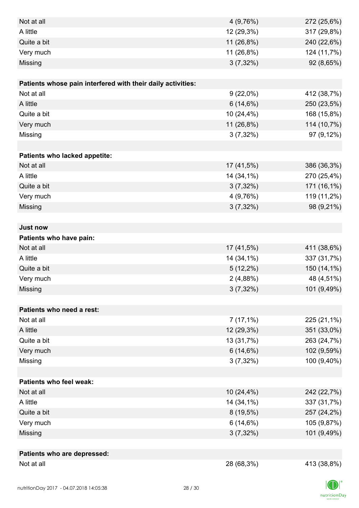| Not at all                                                  | 4(9,76%)    | 272 (25,6%) |
|-------------------------------------------------------------|-------------|-------------|
| A little                                                    | 12 (29,3%)  | 317 (29,8%) |
| Quite a bit                                                 | 11 (26,8%)  | 240 (22,6%) |
| Very much                                                   | 11 (26,8%)  | 124 (11,7%) |
| Missing                                                     | $3(7,32\%)$ | 92 (8,65%)  |
|                                                             |             |             |
| Patients whose pain interfered with their daily activities: |             |             |
| Not at all                                                  | $9(22,0\%)$ | 412 (38,7%) |
| A little                                                    | 6(14,6%)    | 250 (23,5%) |
| Quite a bit                                                 | 10 (24,4%)  | 168 (15,8%) |
| Very much                                                   | 11 (26,8%)  | 114 (10,7%) |
| Missing                                                     | $3(7,32\%)$ | 97 (9,12%)  |
|                                                             |             |             |
| Patients who lacked appetite:                               |             |             |
| Not at all                                                  | 17 (41,5%)  | 386 (36,3%) |
| A little                                                    | 14 (34,1%)  | 270 (25,4%) |
| Quite a bit                                                 | $3(7,32\%)$ | 171 (16,1%) |
| Very much                                                   | 4(9,76%)    | 119 (11,2%) |
| Missing                                                     | $3(7,32\%)$ | 98 (9,21%)  |
|                                                             |             |             |
| <b>Just now</b>                                             |             |             |
| Patients who have pain:                                     |             |             |
| Not at all                                                  | 17 (41,5%)  | 411 (38,6%) |
| A little                                                    | 14 (34,1%)  | 337 (31,7%) |
| Quite a bit                                                 | $5(12,2\%)$ | 150 (14,1%) |
| Very much                                                   | 2(4,88%)    | 48 (4,51%)  |
| Missing                                                     | $3(7,32\%)$ | 101 (9,49%) |
|                                                             |             |             |
| Patients who need a rest:                                   |             |             |
| Not at all                                                  | $7(17,1\%)$ | 225 (21,1%) |
| A little                                                    | 12 (29,3%)  | 351 (33,0%) |
| Quite a bit                                                 | 13 (31,7%)  | 263 (24,7%) |
| Very much                                                   | 6(14,6%)    | 102 (9,59%) |
| Missing                                                     | $3(7,32\%)$ | 100 (9,40%) |
|                                                             |             |             |
| <b>Patients who feel weak:</b>                              |             |             |
| Not at all                                                  | 10 (24,4%)  | 242 (22,7%) |
| A little                                                    | 14 (34,1%)  | 337 (31,7%) |
| Quite a bit                                                 | $8(19,5\%)$ | 257 (24,2%) |
| Very much                                                   | 6(14,6%)    | 105 (9,87%) |
| Missing                                                     | $3(7,32\%)$ | 101 (9,49%) |
|                                                             |             |             |
| Patients who are depressed:                                 |             |             |
| Not at all                                                  | 28 (68,3%)  | 413 (38,8%) |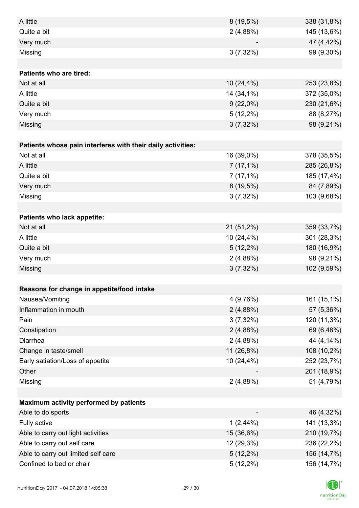| A little                                                    | $8(19,5\%)$ | 338 (31,8%) |
|-------------------------------------------------------------|-------------|-------------|
| Quite a bit                                                 | 2(4,88%)    | 145 (13,6%) |
| Very much                                                   |             | 47 (4,42%)  |
| Missing                                                     | $3(7,32\%)$ | 99 (9,30%)  |
|                                                             |             |             |
| Patients who are tired:                                     |             |             |
| Not at all                                                  | 10 (24,4%)  | 253 (23,8%) |
| A little                                                    | 14 (34,1%)  | 372 (35,0%) |
| Quite a bit                                                 | $9(22,0\%)$ | 230 (21,6%) |
| Very much                                                   | $5(12,2\%)$ | 88 (8,27%)  |
| Missing                                                     | $3(7,32\%)$ | 98 (9,21%)  |
|                                                             |             |             |
| Patients whose pain interferes with their daily activities: |             |             |
| Not at all                                                  | 16 (39,0%)  | 378 (35,5%) |
| A little                                                    | $7(17,1\%)$ | 285 (26,8%) |
| Quite a bit                                                 | $7(17,1\%)$ | 185 (17,4%) |
| Very much                                                   | $8(19,5\%)$ | 84 (7,89%)  |
| Missing                                                     | $3(7,32\%)$ | 103 (9,68%) |
|                                                             |             |             |
| Patients who lack appetite:                                 |             |             |
| Not at all                                                  | 21 (51,2%)  | 359 (33,7%) |
| A little                                                    | 10 (24,4%)  | 301 (28,3%) |
| Quite a bit                                                 | $5(12,2\%)$ | 180 (16,9%) |
| Very much                                                   | 2(4,88%)    | 98 (9,21%)  |
| Missing                                                     | $3(7,32\%)$ | 102 (9,59%) |
|                                                             |             |             |
| Reasons for change in appetite/food intake                  |             |             |
| Nausea/Vomiting                                             | 4 (9,76%)   | 161 (15,1%) |
| Inflammation in mouth                                       | 2(4,88%)    | 57 (5,36%)  |
| Pain                                                        | $3(7,32\%)$ | 120 (11,3%) |
| Constipation                                                | 2(4,88%)    | 69 (6,48%)  |
| Diarrhea                                                    | 2(4,88%)    | 44 (4,14%)  |
| Change in taste/smell                                       | 11 (26,8%)  | 108 (10,2%) |
| Early satiation/Loss of appetite                            | 10 (24,4%)  | 252 (23,7%) |
| Other                                                       |             | 201 (18,9%) |
| Missing                                                     | 2(4,88%)    | 51 (4,79%)  |
|                                                             |             |             |
| Maximum activity performed by patients                      |             |             |
| Able to do sports                                           |             | 46 (4,32%)  |
| Fully active                                                | $1(2,44\%)$ | 141 (13,3%) |
| Able to carry out light activities                          | 15 (36,6%)  | 210 (19,7%) |
| Able to carry out self care                                 | 12 (29,3%)  | 236 (22,2%) |
| Able to carry out limited self care                         | $5(12,2\%)$ | 156 (14,7%) |
| Confined to bed or chair                                    | $5(12,2\%)$ | 156 (14,7%) |